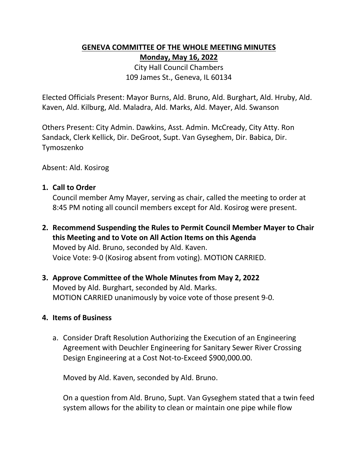## **GENEVA COMMITTEE OF THE WHOLE MEETING MINUTES Monday, May 16, 2022**

City Hall Council Chambers 109 James St., Geneva, IL 60134

Elected Officials Present: Mayor Burns, Ald. Bruno, Ald. Burghart, Ald. Hruby, Ald. Kaven, Ald. Kilburg, Ald. Maladra, Ald. Marks, Ald. Mayer, Ald. Swanson

Others Present: City Admin. Dawkins, Asst. Admin. McCready, City Atty. Ron Sandack, Clerk Kellick, Dir. DeGroot, Supt. Van Gyseghem, Dir. Babica, Dir. Tymoszenko

Absent: Ald. Kosirog

#### **1. Call to Order**

Council member Amy Mayer, serving as chair, called the meeting to order at 8:45 PM noting all council members except for Ald. Kosirog were present.

**2. Recommend Suspending the Rules to Permit Council Member Mayer to Chair this Meeting and to Vote on All Action Items on this Agenda** Moved by Ald. Bruno, seconded by Ald. Kaven. Voice Vote: 9‐0 (Kosirog absent from voting). MOTION CARRIED.

# **3. Approve Committee of the Whole Minutes from May 2, 2022**

Moved by Ald. Burghart, seconded by Ald. Marks. MOTION CARRIED unanimously by voice vote of those present 9-0.

#### **4. Items of Business**

a. Consider Draft Resolution Authorizing the Execution of an Engineering Agreement with Deuchler Engineering for Sanitary Sewer River Crossing Design Engineering at a Cost Not-to-Exceed \$900,000.00.

Moved by Ald. Kaven, seconded by Ald. Bruno.

On a question from Ald. Bruno, Supt. Van Gyseghem stated that a twin feed system allows for the ability to clean or maintain one pipe while flow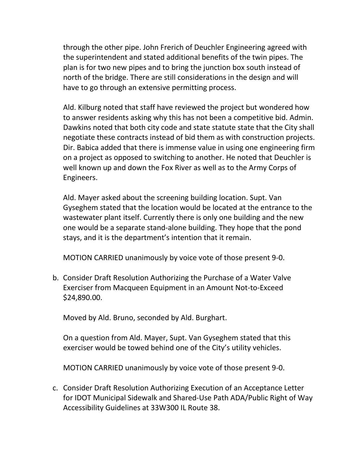through the other pipe. John Frerich of Deuchler Engineering agreed with the superintendent and stated additional benefits of the twin pipes. The plan is for two new pipes and to bring the junction box south instead of north of the bridge. There are still considerations in the design and will have to go through an extensive permitting process.

Ald. Kilburg noted that staff have reviewed the project but wondered how to answer residents asking why this has not been a competitive bid. Admin. Dawkins noted that both city code and state statute state that the City shall negotiate these contracts instead of bid them as with construction projects. Dir. Babica added that there is immense value in using one engineering firm on a project as opposed to switching to another. He noted that Deuchler is well known up and down the Fox River as well as to the Army Corps of Engineers.

Ald. Mayer asked about the screening building location. Supt. Van Gyseghem stated that the location would be located at the entrance to the wastewater plant itself. Currently there is only one building and the new one would be a separate stand-alone building. They hope that the pond stays, and it is the department's intention that it remain.

MOTION CARRIED unanimously by voice vote of those present 9-0.

b. Consider Draft Resolution Authorizing the Purchase of a Water Valve Exerciser from Macqueen Equipment in an Amount Not-to-Exceed \$24,890.00.

Moved by Ald. Bruno, seconded by Ald. Burghart.

On a question from Ald. Mayer, Supt. Van Gyseghem stated that this exerciser would be towed behind one of the City's utility vehicles.

MOTION CARRIED unanimously by voice vote of those present 9-0.

c. Consider Draft Resolution Authorizing Execution of an Acceptance Letter for IDOT Municipal Sidewalk and Shared-Use Path ADA/Public Right of Way Accessibility Guidelines at 33W300 IL Route 38.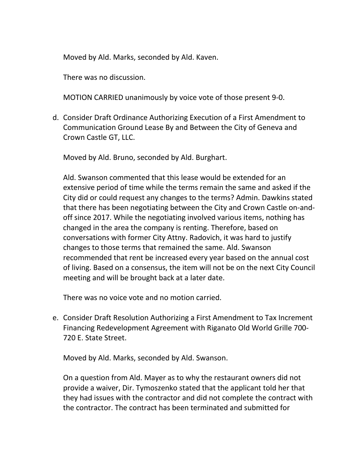Moved by Ald. Marks, seconded by Ald. Kaven.

There was no discussion.

MOTION CARRIED unanimously by voice vote of those present 9-0.

d. Consider Draft Ordinance Authorizing Execution of a First Amendment to Communication Ground Lease By and Between the City of Geneva and Crown Castle GT, LLC.

Moved by Ald. Bruno, seconded by Ald. Burghart.

Ald. Swanson commented that this lease would be extended for an extensive period of time while the terms remain the same and asked if the City did or could request any changes to the terms? Admin. Dawkins stated that there has been negotiating between the City and Crown Castle on-andoff since 2017. While the negotiating involved various items, nothing has changed in the area the company is renting. Therefore, based on conversations with former City Attny. Radovich, it was hard to justify changes to those terms that remained the same. Ald. Swanson recommended that rent be increased every year based on the annual cost of living. Based on a consensus, the item will not be on the next City Council meeting and will be brought back at a later date.

There was no voice vote and no motion carried.

e. Consider Draft Resolution Authorizing a First Amendment to Tax Increment Financing Redevelopment Agreement with Riganato Old World Grille 700-720 E. State Street.

Moved by Ald. Marks, seconded by Ald. Swanson.

On a question from Ald. Mayer as to why the restaurant owners did not provide a waiver, Dir. Tymoszenko stated that the applicant told her that they had issues with the contractor and did not complete the contract with the contractor. The contract has been terminated and submitted for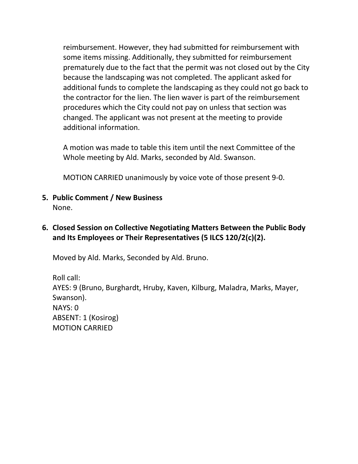reimbursement. However, they had submitted for reimbursement with some items missing. Additionally, they submitted for reimbursement prematurely due to the fact that the permit was not closed out by the City because the landscaping was not completed. The applicant asked for additional funds to complete the landscaping as they could not go back to the contractor for the lien. The lien waver is part of the reimbursement procedures which the City could not pay on unless that section was changed. The applicant was not present at the meeting to provide additional information.

A motion was made to table this item until the next Committee of the Whole meeting by Ald. Marks, seconded by Ald. Swanson.

MOTION CARRIED unanimously by voice vote of those present 9-0.

- **5. Public Comment / New Business**  None.
- **6. Closed Session on Collective Negotiating Matters Between the Public Body and Its Employees or Their Representatives (5 ILCS 120/2(c)(2).**

Moved by Ald. Marks, Seconded by Ald. Bruno.

Roll call: AYES: 9 (Bruno, Burghardt, Hruby, Kaven, Kilburg, Maladra, Marks, Mayer, Swanson). NAYS: 0 ABSENT: 1 (Kosirog) MOTION CARRIED